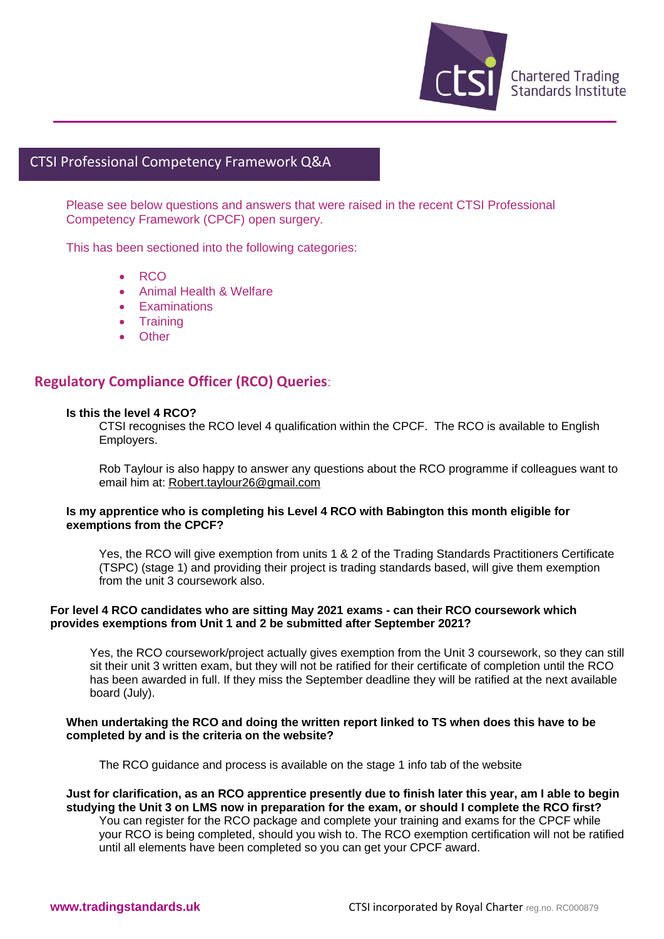

# CTSI Professional Competency Framework Q&A

Please see below questions and answers that were raised in the recent CTSI Professional Competency Framework (CPCF) open surgery.

This has been sectioned into the following categories:

- RCO heteteke <mark>ook</mark>
	- Animal Health & Welfare
	- Examinations
	- Training
	- Other

# **Regulatory Compliance Officer (RCO) Queries**:

#### **Is this the level 4 RCO?**

CTSI recognises the RCO level 4 qualification within the CPCF. The RCO is available to English Employers.

Rob Taylour is also happy to answer any questions about the RCO programme if colleagues want to email him at: [Robert.taylour26@gmail.com](mailto:Robert.taylour26@gmail.com)

### **Is my apprentice who is completing his Level 4 RCO with Babington this month eligible for exemptions from the CPCF?**

Yes, the RCO will give exemption from units 1 & 2 of the Trading Standards Practitioners Certificate (TSPC) (stage 1) and providing their project is trading standards based, will give them exemption from the unit 3 coursework also.

## **For level 4 RCO candidates who are sitting May 2021 exams - can their RCO coursework which provides exemptions from Unit 1 and 2 be submitted after September 2021?**

Yes, the RCO coursework/project actually gives exemption from the Unit 3 coursework, so they can still sit their unit 3 written exam, but they will not be ratified for their certificate of completion until the RCO has been awarded in full. If they miss the September deadline they will be ratified at the next available board (July).

## **When undertaking the RCO and doing the written report linked to TS when does this have to be completed by and is the criteria on the website?**

The RCO guidance and process is available on the stage 1 info tab of the website

## **Just for clarification, as an RCO apprentice presently due to finish later this year, am I able to begin studying the Unit 3 on LMS now in preparation for the exam, or should I complete the RCO first?**

You can register for the RCO package and complete your training and exams for the CPCF while your RCO is being completed, should you wish to. The RCO exemption certification will not be ratified until all elements have been completed so you can get your CPCF award.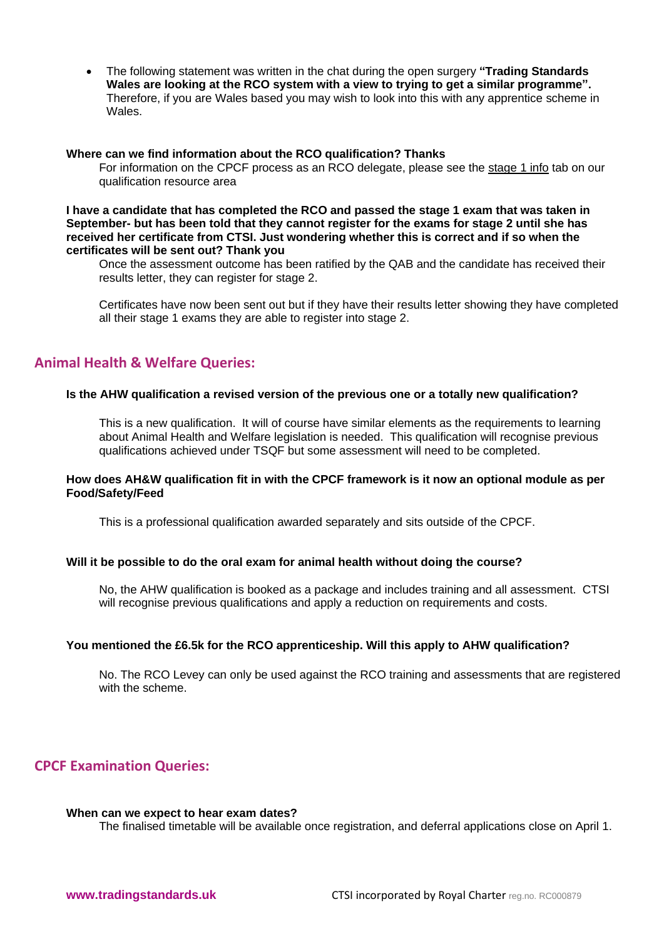• The following statement was written in the chat during the open surgery **"Trading Standards Wales are looking at the RCO system with a view to trying to get a similar programme".**  Therefore, if you are Wales based you may wish to look into this with any apprentice scheme in Wales.

#### **Where can we find information about the RCO qualification? Thanks**

For information on the CPCF process as an RCO delegate, please see the [stage 1 info](https://www.tradingstandards.uk/practitioners/training-development/qualifications-resources#stage1info) tab on our qualification resource area

**I have a candidate that has completed the RCO and passed the stage 1 exam that was taken in September- but has been told that they cannot register for the exams for stage 2 until she has received her certificate from CTSI. Just wondering whether this is correct and if so when the certificates will be sent out? Thank you**

Once the assessment outcome has been ratified by the QAB and the candidate has received their results letter, they can register for stage 2.

Certificates have now been sent out but if they have their results letter showing they have completed all their stage 1 exams they are able to register into stage 2.

# **Animal Health & Welfare Queries:**

#### **Is the AHW qualification a revised version of the previous one or a totally new qualification?**

This is a new qualification. It will of course have similar elements as the requirements to learning about Animal Health and Welfare legislation is needed. This qualification will recognise previous qualifications achieved under TSQF but some assessment will need to be completed.

## **How does AH&W qualification fit in with the CPCF framework is it now an optional module as per Food/Safety/Feed**

This is a professional qualification awarded separately and sits outside of the CPCF.

#### **Will it be possible to do the oral exam for animal health without doing the course?**

No, the AHW qualification is booked as a package and includes training and all assessment. CTSI will recognise previous qualifications and apply a reduction on requirements and costs.

#### **You mentioned the £6.5k for the RCO apprenticeship. Will this apply to AHW qualification?**

No. The RCO Levey can only be used against the RCO training and assessments that are registered with the scheme.

# **CPCF Examination Queries:**

#### **When can we expect to hear exam dates?**

The finalised timetable will be available once registration, and deferral applications close on April 1.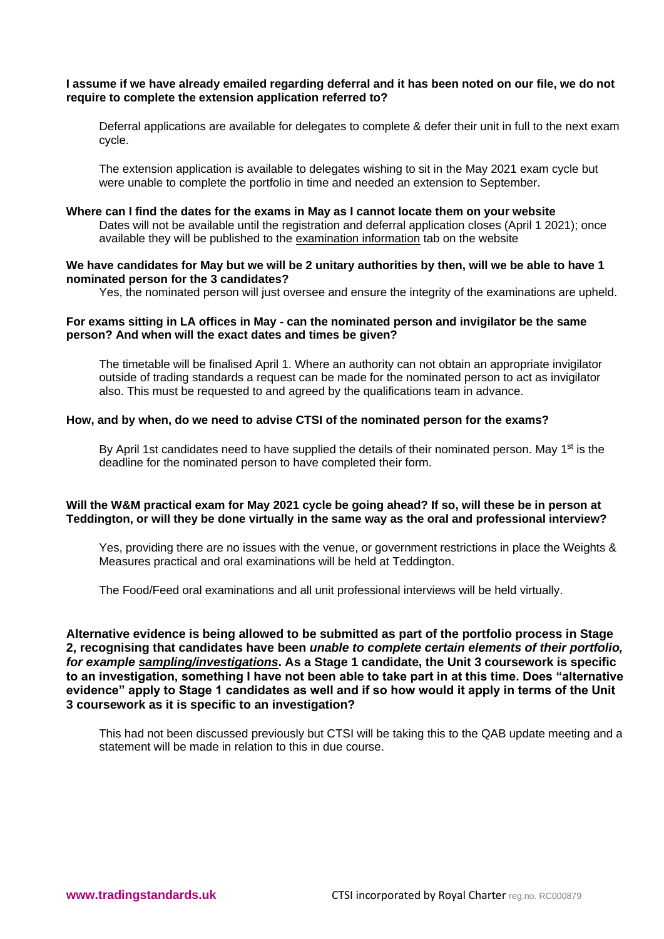## **I assume if we have already emailed regarding deferral and it has been noted on our file, we do not require to complete the extension application referred to?**

Deferral applications are available for delegates to complete & defer their unit in full to the next exam cycle.

The extension application is available to delegates wishing to sit in the May 2021 exam cycle but were unable to complete the portfolio in time and needed an extension to September.

#### **Where can I find the dates for the exams in May as I cannot locate them on your website**

Dates will not be available until the registration and deferral application closes (April 1 2021); once available they will be published to the [examination information](https://www.tradingstandards.uk/practitioners/training-development/qualifications-resources#may2021examinformation) tab on the website

#### **We have candidates for May but we will be 2 unitary authorities by then, will we be able to have 1 nominated person for the 3 candidates?**

Yes, the nominated person will just oversee and ensure the integrity of the examinations are upheld.

## **For exams sitting in LA offices in May - can the nominated person and invigilator be the same person? And when will the exact dates and times be given?**

The timetable will be finalised April 1. Where an authority can not obtain an appropriate invigilator outside of trading standards a request can be made for the nominated person to act as invigilator also. This must be requested to and agreed by the qualifications team in advance.

#### **How, and by when, do we need to advise CTSI of the nominated person for the exams?**

By April 1st candidates need to have supplied the details of their nominated person. May 1<sup>st</sup> is the deadline for the nominated person to have completed their form.

## **Will the W&M practical exam for May 2021 cycle be going ahead? If so, will these be in person at Teddington, or will they be done virtually in the same way as the oral and professional interview?**

Yes, providing there are no issues with the venue, or government restrictions in place the Weights & Measures practical and oral examinations will be held at Teddington.

The Food/Feed oral examinations and all unit professional interviews will be held virtually.

**Alternative evidence is being allowed to be submitted as part of the portfolio process in Stage 2, recognising that candidates have been** *unable to complete certain elements of their portfolio, for example sampling/investigations***. As a Stage 1 candidate, the Unit 3 coursework is specific to an investigation, something I have not been able to take part in at this time. Does "alternative evidence" apply to Stage 1 candidates as well and if so how would it apply in terms of the Unit 3 coursework as it is specific to an investigation?**

This had not been discussed previously but CTSI will be taking this to the QAB update meeting and a statement will be made in relation to this in due course.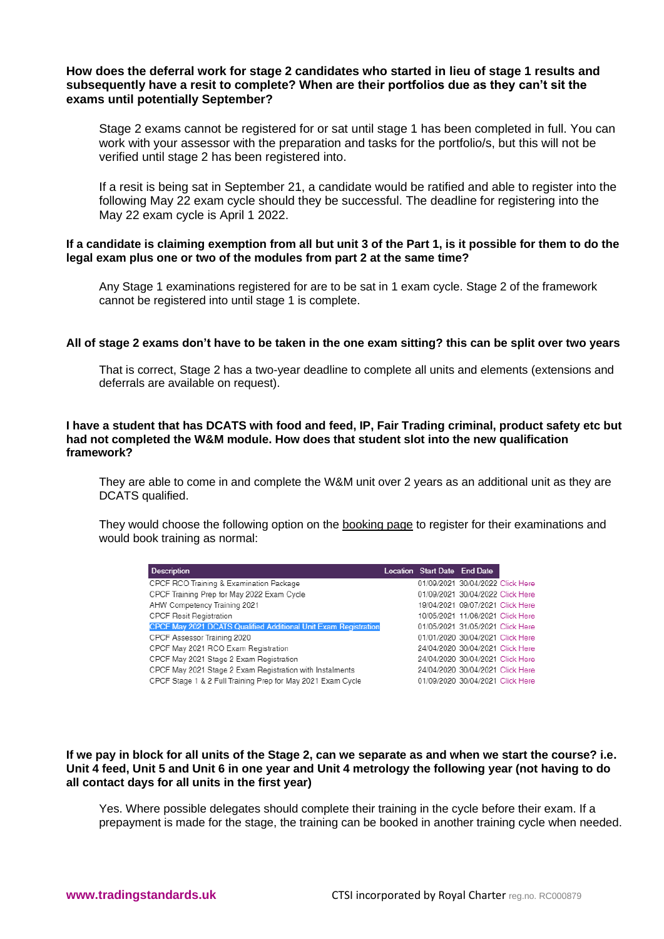## **How does the deferral work for stage 2 candidates who started in lieu of stage 1 results and subsequently have a resit to complete? When are their portfolios due as they can't sit the exams until potentially September?**

Stage 2 exams cannot be registered for or sat until stage 1 has been completed in full. You can work with your assessor with the preparation and tasks for the portfolio/s, but this will not be verified until stage 2 has been registered into.

If a resit is being sat in September 21, a candidate would be ratified and able to register into the following May 22 exam cycle should they be successful. The deadline for registering into the May 22 exam cycle is April 1 2022.

## **If a candidate is claiming exemption from all but unit 3 of the Part 1, is it possible for them to do the legal exam plus one or two of the modules from part 2 at the same time?**

Any Stage 1 examinations registered for are to be sat in 1 exam cycle. Stage 2 of the framework cannot be registered into until stage 1 is complete.

#### **All of stage 2 exams don't have to be taken in the one exam sitting? this can be split over two years**

That is correct, Stage 2 has a two-year deadline to complete all units and elements (extensions and deferrals are available on request).

## **I have a student that has DCATS with food and feed, IP, Fair Trading criminal, product safety etc but had not completed the W&M module. How does that student slot into the new qualification framework?**

They are able to come in and complete the W&M unit over 2 years as an additional unit as they are DCATS qualified.

They would choose the following option on the [booking page](https://www.tradingstandards.uk/practitioners/training-development/book-online) to register for their examinations and would book training as normal:

| <b>Description</b>                                                     | Location Start Date End Date |                                  |  |
|------------------------------------------------------------------------|------------------------------|----------------------------------|--|
| CPCF RCO Training & Examination Package                                |                              | 01/09/2021 30/04/2022 Click Here |  |
| CPCF Training Prep for May 2022 Exam Cycle                             |                              | 01/09/2021 30/04/2022 Click Here |  |
| AHW Competency Training 2021                                           |                              | 19/04/2021 09/07/2021 Click Here |  |
| <b>CPCF Resit Registration</b>                                         |                              | 10/05/2021 11/06/2021 Click Here |  |
| <b>CPCF May 2021 DCATS Qualified Additional Unit Exam Registration</b> |                              | 01/05/2021 31/05/2021 Click Here |  |
| CPCF Assessor Training 2020                                            |                              | 01/01/2020 30/04/2021 Click Here |  |
| CPCF May 2021 RCO Exam Registration                                    |                              | 24/04/2020 30/04/2021 Click Here |  |
| CPCF May 2021 Stage 2 Exam Registration                                |                              | 24/04/2020 30/04/2021 Click Here |  |
| CPCF May 2021 Stage 2 Exam Registration with Instalments               |                              | 24/04/2020 30/04/2021 Click Here |  |
| CPCF Stage 1 & 2 Full Training Prep for May 2021 Exam Cycle            |                              | 01/09/2020 30/04/2021 Click Here |  |
|                                                                        |                              |                                  |  |

## **If we pay in block for all units of the Stage 2, can we separate as and when we start the course? i.e. Unit 4 feed, Unit 5 and Unit 6 in one year and Unit 4 metrology the following year (not having to do all contact days for all units in the first year)**

Yes. Where possible delegates should complete their training in the cycle before their exam. If a prepayment is made for the stage, the training can be booked in another training cycle when needed.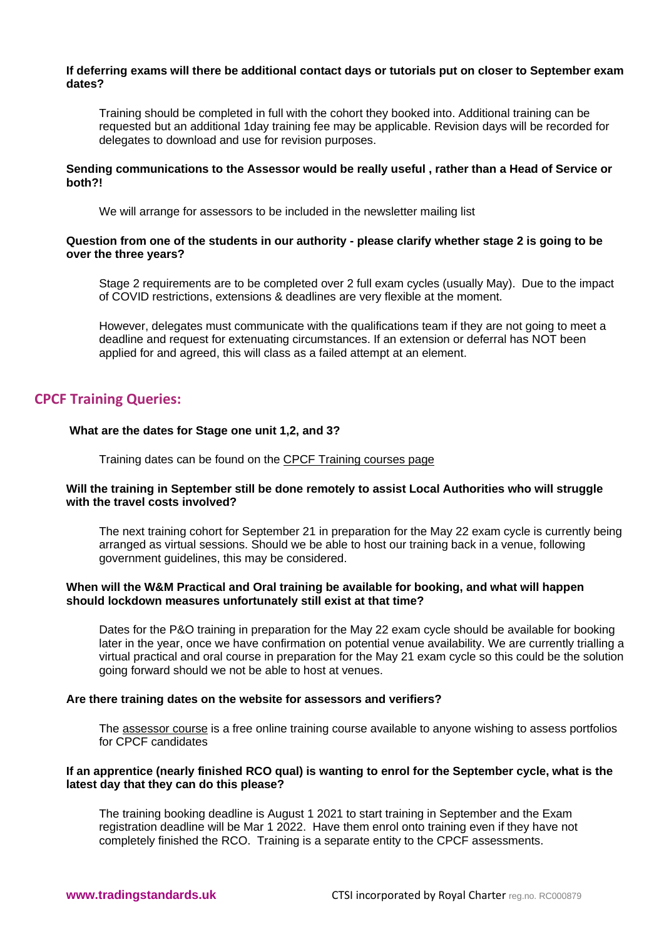#### **If deferring exams will there be additional contact days or tutorials put on closer to September exam dates?**

Training should be completed in full with the cohort they booked into. Additional training can be requested but an additional 1day training fee may be applicable. Revision days will be recorded for delegates to download and use for revision purposes.

### **Sending communications to the Assessor would be really useful , rather than a Head of Service or both?!**

We will arrange for assessors to be included in the newsletter mailing list

## **Question from one of the students in our authority - please clarify whether stage 2 is going to be over the three years?**

Stage 2 requirements are to be completed over 2 full exam cycles (usually May). Due to the impact of COVID restrictions, extensions & deadlines are very flexible at the moment.

However, delegates must communicate with the qualifications team if they are not going to meet a deadline and request for extenuating circumstances. If an extension or deferral has NOT been applied for and agreed, this will class as a failed attempt at an element.

# **CPCF Training Queries:**

## **What are the dates for Stage one unit 1,2, and 3?**

Training dates can be found on the [CPCF Training courses page](https://www.tradingstandards.uk/practitioners/training-development/cpcf-training-courses)

## **Will the training in September still be done remotely to assist Local Authorities who will struggle with the travel costs involved?**

The next training cohort for September 21 in preparation for the May 22 exam cycle is currently being arranged as virtual sessions. Should we be able to host our training back in a venue, following government guidelines, this may be considered.

## **When will the W&M Practical and Oral training be available for booking, and what will happen should lockdown measures unfortunately still exist at that time?**

Dates for the P&O training in preparation for the May 22 exam cycle should be available for booking later in the year, once we have confirmation on potential venue availability. We are currently trialling a virtual practical and oral course in preparation for the May 21 exam cycle so this could be the solution going forward should we not be able to host at venues.

## **Are there training dates on the website for assessors and verifiers?**

The [assessor course](https://www.tradingstandards.uk/practitioners/training-development/cpcf-training-courses/cpcf-assessor-course-2020) is a free online training course available to anyone wishing to assess portfolios for CPCF candidates

#### **If an apprentice (nearly finished RCO qual) is wanting to enrol for the September cycle, what is the latest day that they can do this please?**

The training booking deadline is August 1 2021 to start training in September and the Exam registration deadline will be Mar 1 2022. Have them enrol onto training even if they have not completely finished the RCO. Training is a separate entity to the CPCF assessments.